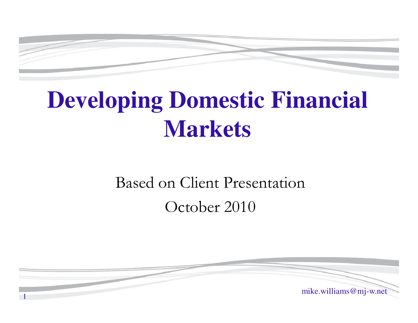

# **Developing Domestic Financial Markets**

## Based on Client PresentationOctober 2010

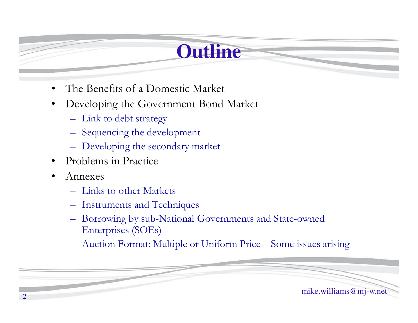## **Outline**

- $\bullet$ The Benefits of a Domestic Market
- $\bullet$  Developing the Government Bond Market
	- Link to debt strategy
	- Sequencing the development
	- Developing the secondary market
- •Problems in Practice
- •Annexes

2

- Links to other Markets
- Instruments and Techniques
- Borrowing by sub-National Governments and State-owned Enterprises (SOEs)
- Auction Format: Multiple or Uniform Price Some issues arising

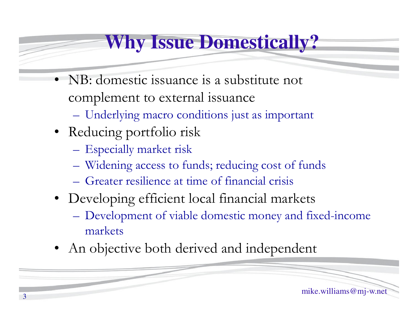## **Why Issue Domestically?**

- • NB: domestic issuance is a substitute not complement to external issuance
	- Underlying macro conditions just as important
- Reducing portfolio risk
	- Especially market risk
	- Widening access to funds; reducing cost of funds
	- Greater resilience at time of financial crisis
- Developing efficient local financial markets
	- Development of viable domestic money and fixed-income markets
- •An objective both derived and independent

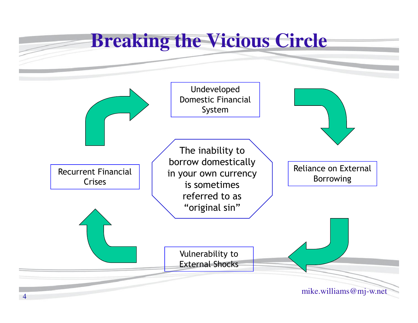## **Breaking the Vicious Circle**

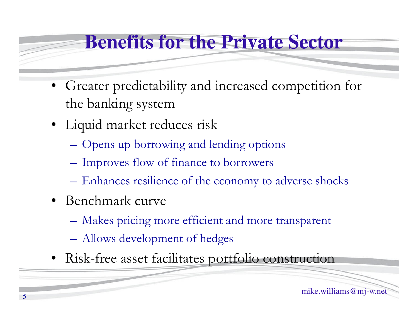## **Benefits for the Private Sector**

- • Greater predictability and increased competition for the banking system
- Liquid market reduces risk
	- $\mathcal{L}_{\mathcal{A}}$ Opens up borrowing and lending options
	- –– Improves flow of finance to borrowers
	- –Enhances resilience of the economy to adverse shocks
- Benchmark curve
	- $\mathcal{L}_{\mathcal{A}}$ Makes pricing more efficient and more transparent
	- –Allows development of hedges
- Risk-free asset facilitates portfolio construction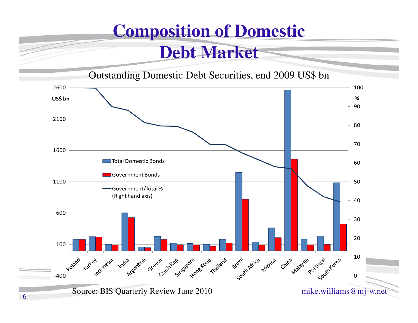## **Composition of Domestic**

#### **Debt Market**

Outstanding Domestic Debt Securities, end 2009 US\$ bn

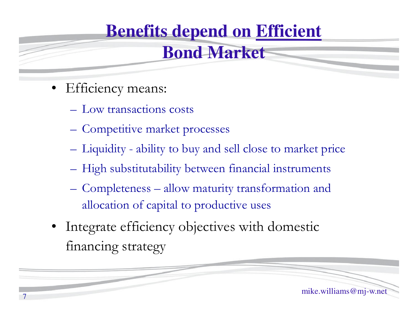## **Benefits depend on Efficient**

#### **Bond Market**

- Efficiency means:
	- Low transactions costs
	- Competitive market processes
	- –Liquidity - ability to buy and sell close to market price
	- – $-$  High substitutability between financial instruments
	- – Completeness – allow maturity transformation and allocation of capital to productive uses
- Integrate efficiency objectives with domestic financing strategy

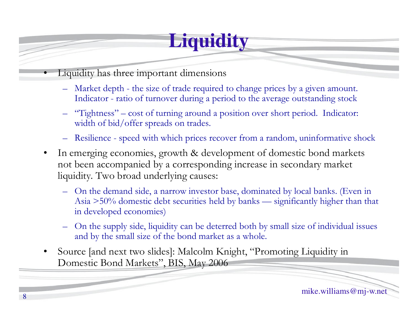## **Liquidity**

- • Liquidity has three important dimensions
	- –Market depth - the size of trade required to change prices by a given amount. Indicator - ratio of turnover during a period to the average outstanding stock
	- – "Tightness" – cost of turning around a position over short period. Indicator: width of bid/offer spreads on trades.
	- Resilience speed with which prices recover from a random, uninformative shock
- • In emerging economies, growth & development of domestic bond markets not been accompanied by a corresponding increase in secondary market liquidity. Two broad underlying causes:
	- –On the demand side, a narrow investor base, dominated by local banks. (Even in Asia >50% domestic debt securities held by banks — significantly higher than that in developed economies)
	- – On the supply side, liquidity can be deterred both by small size of individual issues and by the small size of the bond market as a whole.
- • Source [and next two slides]: Malcolm Knight, "Promoting Liquidity in Domestic Bond Markets", BIS, May 2006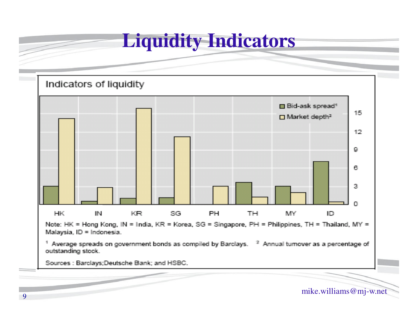#### **Liquidity Indicators**



mike.williams@mj-w.net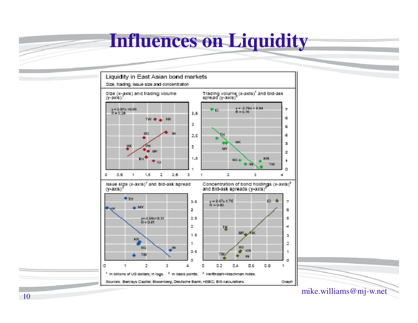#### **Influences on Liquidity**





mike.williams@mj-w.net

 $\overline{\mathscr{S}}$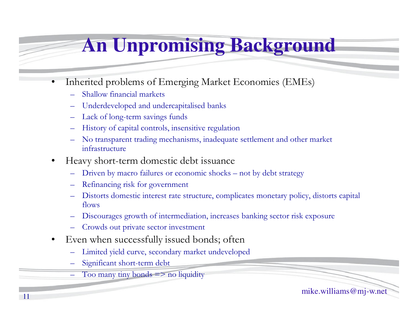## **An Unpromising Background**

- • Inherited problems of Emerging Market Economies (EMEs)
	- Shallow financial markets
	- Underdeveloped and undercapitalised banks
	- Lack of long-term savings funds
	- History of capital controls, insensitive regulatio n
	- No transparent trading mechanisms, inadequate settlement and other market infrastructure
	- • Heavy short -term domestic debt issuance
		- Driven by macro failures or economic shocks not by debt strategy
		- Refinancing risk for government
		- Distorts domestic interest rate structure, complicates monetary policy, distorts capital flows
		- Discourages growth of intermediation, increases banking sector risk exposure
		- Crowds out private sector investment
	- $\bullet$  Even when successfully issued bonds; often
		- Limited yield curve, secondary market undeveloped
		- Significant short-term debt
			- Too many tiny bonds  $\Rightarrow$  no liquidity

mike.williams@mj-w.net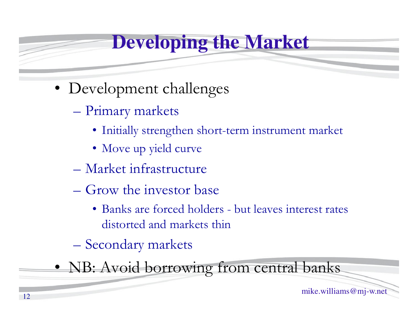## **Developing the Market**

- Development challenges
	- Primary markets
		- Initially strengthen short-term instrument market
		- Move up yield curve
	- Market infrastructure
	- Grow the investor base
		- Banks are forced holders but leaves interest rates distorted and markets thin
	- Secondary markets

• NB: Avoid borrowing from central banks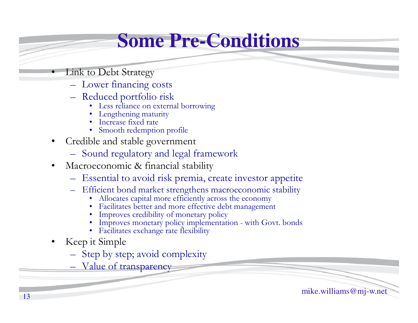## **Some Pre-Conditions**

Link to Debt Strategy

•

- Lower financing costs
- Reduced portfolio risk<br>Less reliance on externi
	- Less reliance on external borrowing
	- •Lengthening maturity
	- •Increase fixed rate
	- Smooth redemption profile
- $\bullet$  Credible and stable government
	- Sound regulatory and legal framework
- $\bullet$  Macroeconomic & financial stability
	- Essential to avoid risk premia, create investor appetite
	- –Efficient bond market strengthens macroeconomic stability<br>• Allocates capital more efficiently across the economy
		- Allocates capital more efficiently across the economy
		- •Facilitates better and more effective debt management
		- Improves credibility of monetary policy
		- Improves monetary policy implementation with Govt. bonds<br>• Ecclitates exchange rate flexibility
		- Facilitates exchange rate flexibility
- • Keep it Simple
	- Step by step; avoid complexity
	- Value of transparency

mike.williams@mj-w.net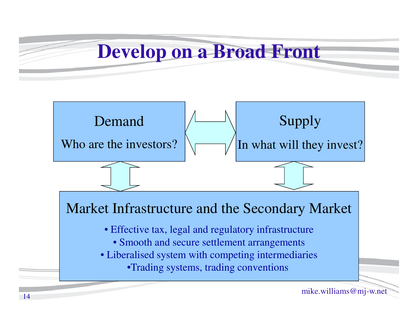#### **Develop on a Broad Front**

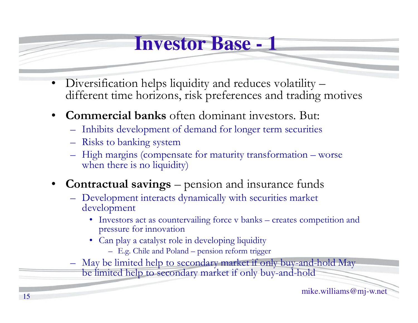#### **Investor Base - 1**

- • Diversification helps liquidity and reduces volatility – different time horizons, risk preferences and trading motives
- $\bullet$  **Commercial banks** often dominant investors. But:
	- Inhibits development of demand for longer term securities
	- Risks to banking system
	- $-$  High margins (competition High margins (compensate for maturity transformation – worse<br>when there is no liquidity) when there is no liquidity)
- $\bullet$ • **Contractual savings** – pension and insurance funds
	- Development interacts dynamically with securities market development
		- Investors act as countervailing force v banks creates competition and pressure for innovation pressure for innovation
		- Can play a catalyst role in developing liquidity
			- E.g. Chile and Poland pension reform trigger
	- May be limited help to secondary market if only buy-and-hold May<br>be limited help to secondary market if only buy and hold be limited help to secondary market if only buy-and-hold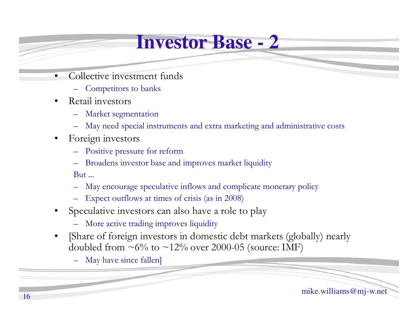#### **Investor Base - 2**

- • Collective investment funds
	- Competitors to banks
- • Retail investors
	- Market segmentation
	- May need special instruments and extra marketing and administrative costs
- • Foreign investors
	- Positive pressure for reform
	- Broadens investor base and improves market liquidity

But ...

- May encourage speculative inflows and complicate monetary policy
- Expect outflows at times of crisis (as in 2008)
- • Speculative investors can also have a role to play
	- More active trading improves liquidity
- • [Share of foreign investors in domestic debt markets (globally) nearly doubled from  $\sim 6\%$  to  $\sim 12\%$  over 2000-05 (source: IMF)

May have since fallen]

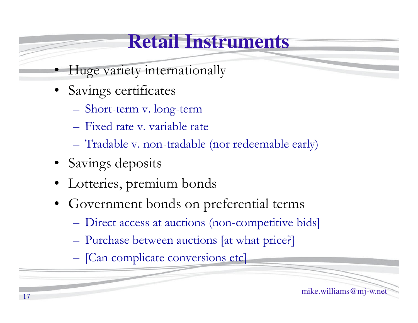#### **Retail Instruments**

- Huge variety internationally
- Savings certificates
	- Short-term v. long-term
	- Fixed rate v. variable rate
	- Tradable v. non-tradable (nor redeemable early)
- Savings deposits
- •Lotteries, premium bonds
- • Government bonds on preferential terms
	- Direct access at auctions (non-competitive bids)
	- Purchase between auctions [at what price?]
	- [Can complicate conversions etc]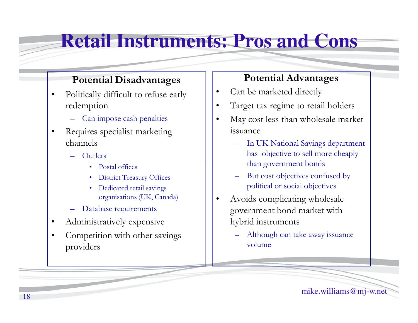#### **Retail Instruments: Pros and Cons**

#### **Potential Disadvantages**

- • Politically difficult to refuse early redemption
	- Can impose cash penalties
- • Requires specialist marketing channels
	- **Outlets** 
		- •Postal offices
		- •District Treasury Offices
		- • Dedicated retail savings organisations (UK, Canada)
	- Database requirements
- •Administratively expensive
- • Competition with other savings providers

#### **Potential Advantages**

- •Can be marketed directly
- •Target tax regime to retail holders
- • May cost less than wholesale market issuance
	- In UK National Savings department has objective to sell more cheaply than government bonds
	- But cost objectives confused by political or social objectives
- • Avoids complicating wholesale government bond market with hybrid instruments
	- Although can take away issuance volume

mike.williams@mj-w.net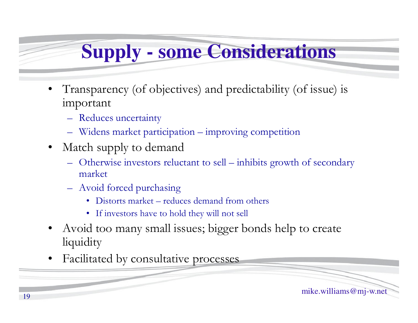## **Supply - some Considerations**

- • Transparency (of objectives) and predictability (of issue) is important
	- Reduces uncertainty
	- Widens market participation improving competition
- Match supply to demand
	- Otherwise investors reluctant to sell inhibits growth of secondary market
	- Avoid forced purchasing
		- Distorts market reduces demand from others
		- If investors have to hold they will not sell
- • Avoid too many small issues; bigger bonds help to create liquidity
- •Facilitated by consultative processes

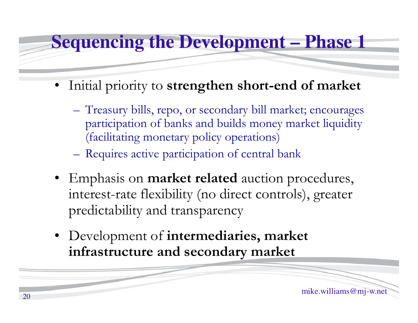#### **Sequencing the Development – Phase 1**

- Initial priority to **strengthen short-end of market**
	- **Hart Committee Committee**  Treasury bills, repo, or secondary bill market; encourages participation of banks and builds money market liquidity (facilitating monetary policy operations)
	- **Hart Committee Committee** Requires active participation of central bank
- Emphasis on **market related** auction procedures, interest-rate flexibility (no direct controls), greater predictability and transparency
- Development of **intermediaries, market infrastructure and secondary market**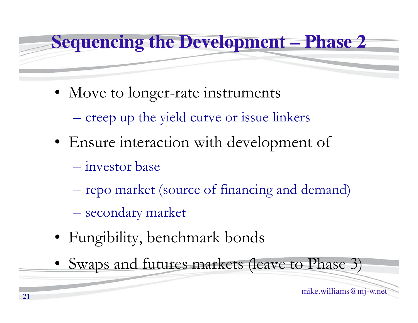# **Sequencing the Development – Phase 2**

- Move to longer-rate instruments
	- creep up the yield curve or issue linkers
- Ensure interaction with development of
	- investor base
	- repo market (source of financing and demand)
	- secondary market
- Fungibility, benchmark bonds
- Swaps and futures markets (leave to Phase 3)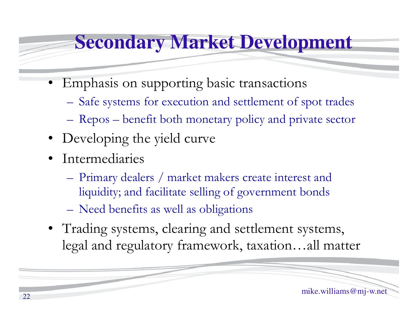#### **Secondary Market Development**

- Emphasis on supporting basic transactions
	- **Hart Committee Committee** Safe systems for execution and settlement of spot trades
	- –Repos – benefit both monetary policy and private sector
- Developing the yield curve
- Intermediaries
	- **Hart Committee Committee** Primary dealers / market makers create interest and liquidity; and facilitate selling of government bonds
	- **Hart Committee Committee** Need benefits as well as obligations
- Trading systems, clearing and settlement systems, legal and regulatory framework, taxation…all matter

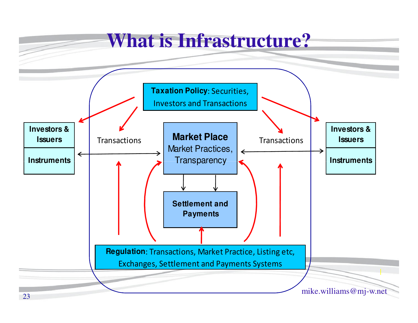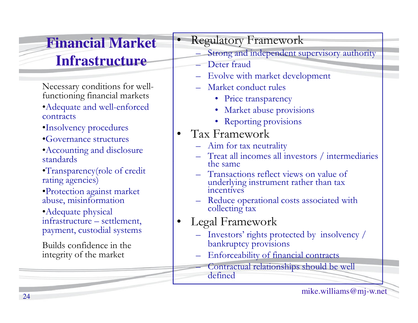#### **Financial Market Infrastructure**

Necessary conditions for wellfunctioning financial markets•Adequate and well-enforced

- contracts
- •Insolvency procedures
- •Governance structures
- •Accounting and disclosure standards
- •Transparency(role of credit rating agencies)
- •Protection against market abuse, misinformation

•Adequate physical infrastructure – settlement, payment, custodial systems

Builds confidence in the integrity of the market

#### Regulatory Framework

- Strong and independent supervisory authority
- Deter fraud

•

- Evolve with market development
- Market conduct rules
	- Price transparency
	- Market abuse provisions
	- Reporting provisions
- $\bullet$  Tax Framework
	- $-$  Aim for tax neutrality
	- Treat all incomes all investors / intermediaries<br>the same the same
	- Transactions reflect views on value of<br>underlying instrument rather than tax underlying instrument rather than tax incentives
	- Reduce operational costs associated with collecting tax
- • Legal Framework
	- Investors' rights protected by insolvency / bankruptcy provisions
	- Enforceability of financial contracts

 Contractual relationships should be well defined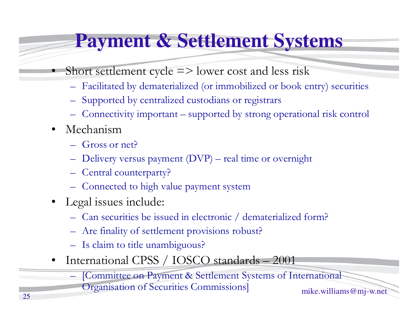## **Payment & Settlement Systems**

- Short settlement cycle  $\Rightarrow$  lower cost and less risk
	- Facilitated by dematerialized (or immobilized or book entry) securities
	- Supported by centralized custodians or registrars
	- Connectivity important supported by strong operational risk control
- $\bullet$ Mechanism

•

- $\sqrt{-r}$ Gross or net?
- Delivery versus payment (DVP) – real time or overnight
- Central counterparty?
- Connected to high value payment system
- Legal issues include:
	- Can securities be issued in electronic / dematerialized form?
	- Are finality of settlement provisions robust?
	- Is claim to title unambiguous?
- •International CPSS / IOSCO standards – <sup>2001</sup>

[Committee on Payment & Settlement Systems of International

Organisation of Securities Commissions]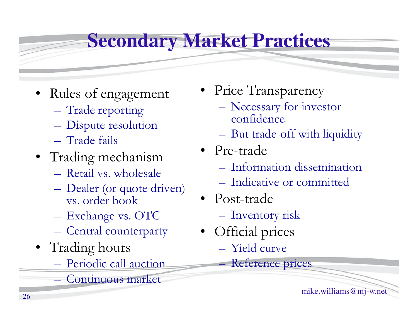## **Secondary Market Practices**

- Rules of engagement
	- Trade reporting
	- –Dispute resolution
	- –Trade fails
- Trading mechanism
	- $=$  Reforming Wavenerg Retail vs. wholesale
	- –Dealer (or quote driven) vs. order book
	- **Hart Committee Committee** Exchange vs. OTC
	- –Central counterparty
- Trading hours
	- Periodic call auction
	- **Hart Committee Committee** Continuous market
- Price Transparency
	- Necessary for investor confidence
	- But trade-off with liquidity
- Pre-trade
	- –– Information dissemination
	- **Hart Committee Committee** Indicative or committed
- Post-trade
	- –Inventory risk
- • Official prices
	- Yield curve
	- Reference prices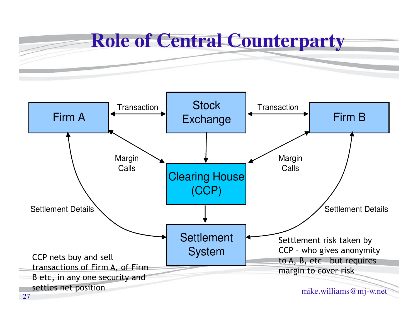

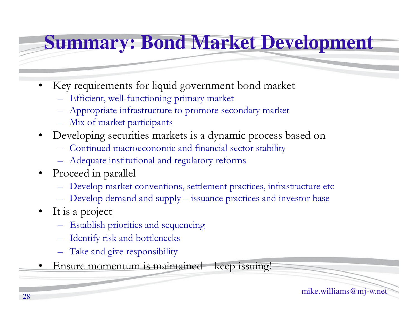## **Summary: Bond Market Development**

- • Key requirements for liquid government bond market
	- Efficient, well-functioning primary market
	- Appropriate infrastructure to promote secondary market
	- Mix of market participants
- Developing securities markets is a dynamic process based on
	- Continued macroeconomic and financial sector stability
	- Adequate institutional and regulatory reforms
- Proceed in parallel
	- Develop market conventions, settlement practices, infrastructure etc
	- Develop demand and supply issuance practices and investor base
- •It is a project
	- Establish priorities and sequencing
	- Identify risk and bottlenecks
	- Take and give responsibility
- •Ensure momentum is maintained – keep issuing!

mike.williams@mj-w.net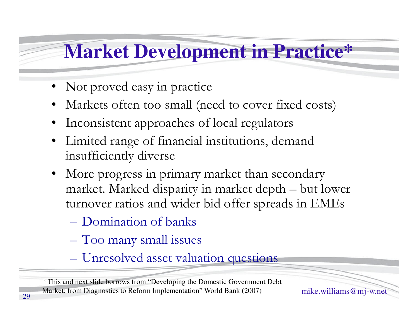## **Market Development in Practice\***

- •Not proved easy in practice
- •Markets often too small (need to cover fixed costs )
- •Inconsistent approaches of local regulators
- $\bullet$  Limited range of financial institutions, demand insufficiently diverse
- More progress in primary market than secondary market. Marked disparity in market depth – but lower turnover ratios and wider bid offer spreads in EMEs
	- Domination of banks
	- Too many small issues
	- Unresolved asset valuation questions

Market: from Diagnostics to Reform Implementation" World Bank (2007) mike.williams @ mj-w.net<br>9 \* This and next slide borrows from "Developing the Domestic Government Debt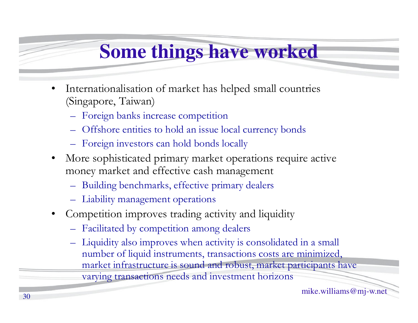## **Some things have worked**

- • Internationalisation of market has helped small countries (Singapore, Taiwan)
	- Foreign banks increase competition
	- Offshore entities to hold an issue local currency bonds
	- Foreign investors can hold bonds locally
- $\bullet$  More sophisticated primary market operations require active money market and effective cash management
	- Building benchmarks, effective primary dealers
	- Liability management operations
- • Competition improves trading activity and liquidity
	- Facilitated by competition among dealers
	- Liquidity also improves when activity is consolidated in a small number of liquid instruments, transactions costs are minimized, market infrastructure is sound and robust, market participants have varying transactions needs and investment horizons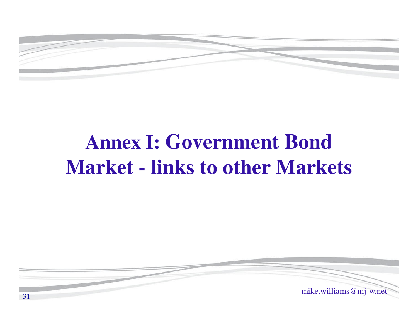

# **Annex I: Government Bond Market - links to other Markets**

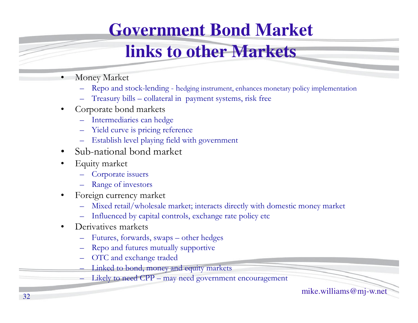#### **Government Bond Market**

#### **links to other Markets**

- • Money Market
	- Repo and stock-lending <sup>h</sup>edging instrument, enhances monetary policy implementation
	- Treasury bills collateral in payment systems, risk free
- • Corporate bond markets
	- Intermediaries can hedge
	- Yield curve is pricing reference
	- Establish level playing field with government
- •Sub-national bond market
- • Equity market
	- Corporate issuers
	- Range of investors
- • Foreign currency market
	- Mixed retail/wholesale market; interacts directly with domestic money market
	- Influenced by capital controls, exchange rate policy etc
- • Derivatives markets
	- Futures, forwards, swaps other hedges
	- Repo and futures mutually supportive
	- OTC and exchange traded
	- Linked to bond, money and equity markets
	- Likely to need CPP may need government encouragement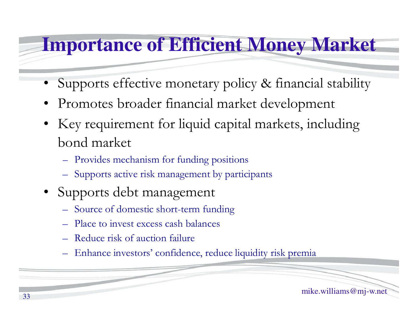## **Importance of Efficient Money Market**

- •Supports effective monetary policy & financial stability
- •Promotes broader financial market development
- • Key requirement for liquid capital markets, including bond market
	- Provides mechanism for funding positions
	- Supports active risk management by participants
- • Supports debt management
	- Source of domestic short-term funding
	- Place to invest excess cash balances
	- Reduce risk of auction failure
	- Enhance investors' confidence, reduce liquidity risk premia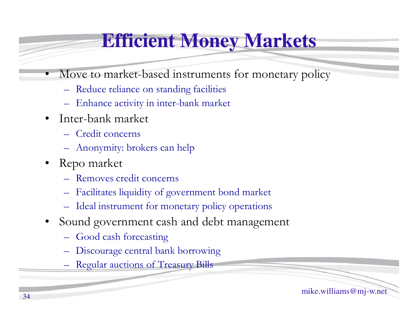## **Efficient Money Markets**

- • Move to market-based instruments for monetary policy
	- Reduce reliance on standing facilities
	- Enhance activity in inter-bank market
- • Inter-bank market
	- Credit concerns
	- Anonymity: brokers can help
- • Repo market
	- Removes credit concerns
	- Facilitates liquidity of government bond market
	- Ideal instrument for monetary policy operations
- • Sound government cash and debt management
	- Good cash forecasting
	- Discourage central bank borrowing
	- Regular auctions of Treasury Bills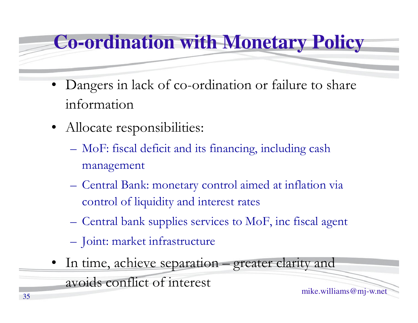#### **Co-ordination with Monetary Policy**

- • Dangers in lack of co-ordination or failure to share information
- Allocate responsibilities:
	- **Hart Committee Committee**  MoF: fiscal deficit and its financing, including cash management
	- – Central Bank: monetary control aimed at inflation via control of liquidity and interest rates
	- –Central bank supplies services to MoF, inc fiscal agent
	- –Joint: market infrastructure
- In time, achieve separation greater clarity and avoids conflict of interest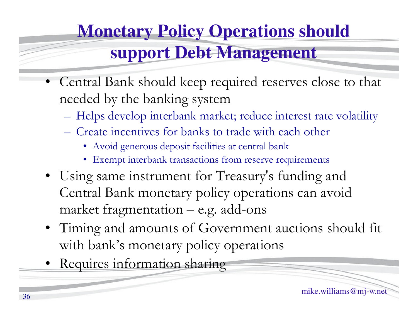## **Monetary Policy Operations should support Debt Management**

- • Central Bank should keep required reserves close to that needed by the banking system
	- $-$  Heins develop interbank mar Helps develop interbank market; reduce interest rate volatility
	- Create incentives for banks to trade with each other
		- Avoid generous deposit facilities at central bank
		- Exempt interbank transactions from reserve requirements
- Using same instrument for Treasury's funding and Central Bank monetary policy operations can avoid market fragmentation – e.g. add-ons
- Timing and amounts of Government auctions should fit with bank's monetary policy operations
- •Requires information sharing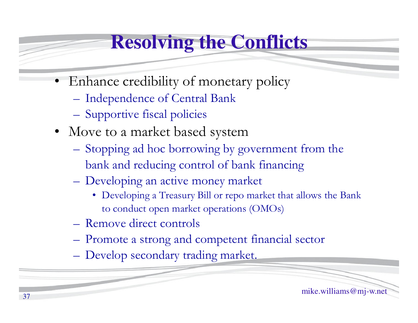## **Resolving the Conflicts**

- • Enhance credibility of monetary policy
	- **Hart Committee Committee** Independence of Central Bank
	- Supportive fiscal policies
- Move to a market based system
	- $\sim$  Stabbing ad hac borrowing by Stopping ad hoc borrowing by government from the bank and reducing control of bank financing
	- Developing an active money market
		- Developing a Treasury Bill or repo market that allows the Bank to conduct open market operations (OMOs)
	- **Hart Committee Committee** Remove direct controls
	- –Promote a strong and competent financial sector
	- **Hart Committee Committee** Develop secondary trading market.

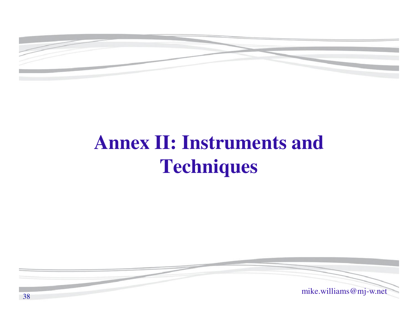

## **Annex II: Instruments and Techniques**

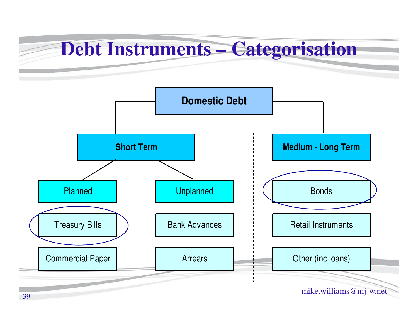## **Debt Instruments – Categorisation**

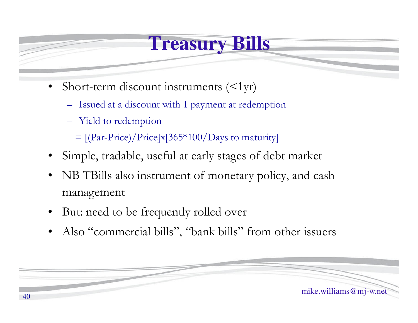#### **Treasury Bills**

- •Short-term discount instruments  $\left(\langle 1 \rangle r\right)$ 
	- Issued at a discount with 1 payment at redemption
	- Yield to redemption

 $=$  [(Par-Price)/Price]x[365\*100/Days to maturity]

- •Simple, tradable, useful at early stages of debt market
- • NB TBills also instrument of monetary policy, and cash management
- •But: need to be frequently rolled over
- •Also "commercial bills", "bank bills" from other issuers

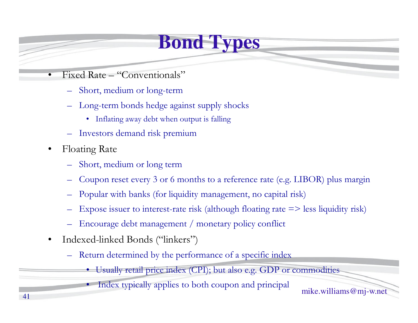## **Bond Types**

- • Fixed Rate – "Conventionals"
	- Short, medium or long-term
	- – Long-term bonds hedge against supply shocks
		- Inflating away debt when output is falling
	- Investors demand risk premium
- • Floating Rate
	- –Short, medium or long term
	- Coupon reset every 3 or 6 months to a reference rate (e.g. LIBOR) plus margin
	- –Popular with banks (for liquidity management, no capital risk)
	- Expose issuer to interest-rate risk (although floating rate => less liquidity risk)
	- –Encourage debt management / monetary policy conflict
- • Indexed-linked Bonds ("linkers")
	- – Return determined by the performance of a specific index
		- Usually retail price index (CPI); but also e.g. GDP or commodities
			- Index typically applies to both coupon and principal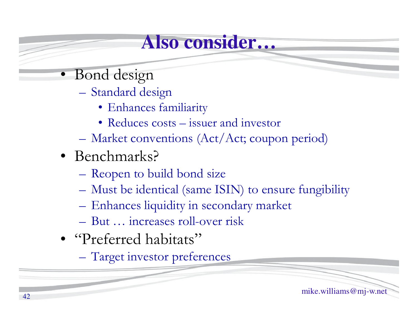#### **Also consider…**

- Bond design
	- Standard design
		- Enhances familiarity
		- Reduces costs issuer and investor
	- Market conventions (Act/Act; coupon period)
- Benchmarks?
	- Reopen to build bond size
	- Must be identical (same ISIN) to ensure fungibility
	- Enhances liquidity in secondary market
	- But … increases roll-over risk
- "Preferred habitats"
	- Target investor preferences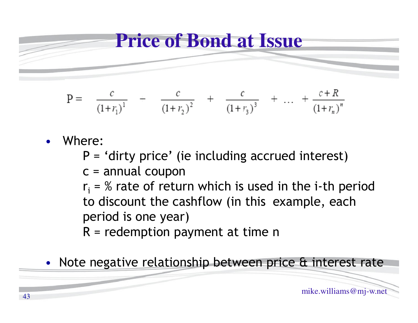

$$
P = \frac{c}{(1+r_1)^1} + \frac{c}{(1+r_2)^2} + \frac{c}{(1+r_3)^3} + \dots + \frac{c+R}{(1+r_n)^n}
$$

- • Where:
	- P = 'dirty price' (ie including accrued interest)
	- $c =$  annual coupon
	- $r_{\rm i}$  = % rate of return which is used in the i-th period to discount the cashflow (in this example, each period is one year)
	- $R$  = redemption payment at time n
- •Note negative relationship between price & interest rate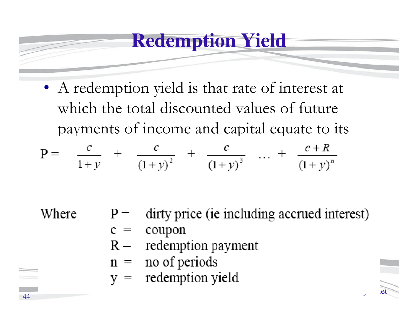#### **Redemption Yield**

• A redemption yield is that rate of interest at which the total discounted values of future payments of income and capital equate to its

$$
P = \frac{c}{1+y} + \frac{c}{(1+y)^2} + \frac{c}{(1+y)^3} + \dots + \frac{c+R}{(1+y)^n}
$$

Where

- dirty price (ie including accrued interest)  $P =$
- coupon  $c =$
- redemption payment  $R =$
- no of periods  $n =$
- redemption yield  $V =$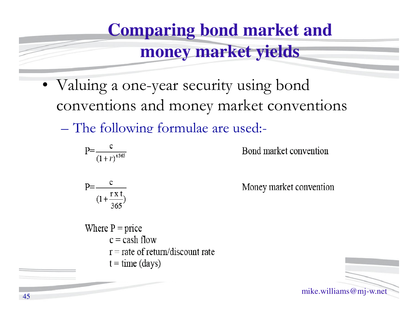# **Comparing bond market and**

#### **money market yields**

- • Valuing a one-year security using bond conventions and money market conventions
	- $\mathcal{L}_{\mathcal{A}}$ The following formulae are used:-

$$
P = \frac{c}{(1+r)^{t^{365}}}
$$

Bond market convention

$$
P=\frac{c}{(1+\frac{rx t}{365})}
$$

Money market convention

Where  $P = price$  $c = cash flow$  $r =$  rate of return/discount rate  $t = time (days)$ 

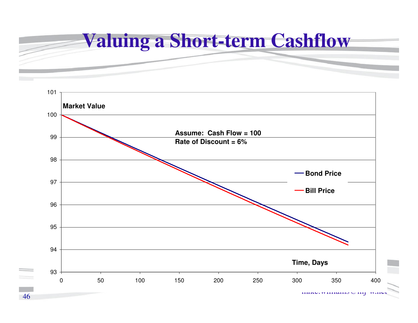

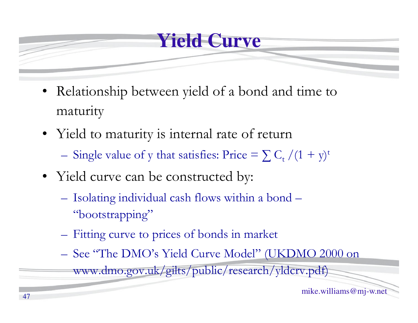#### **Yield Curve**

- Relationship between yield of a bond and time to maturity
- Yield to maturity is internal rate of return

- Single value of y that satisfies: Price =  $\sum C_t / (1 + y)^t$ 

- 
- Yield curve can be constructed by:<br>
 Isolating individual cash flows within a bond –<br>
"bootstrapping"<br>
 Fitting curve to prices of bonds in market<br>
 See "The DMO's Yield Curve Model" (UKDMO 2000 on<br>
www.dmo.gov.uk/gil
	-
	-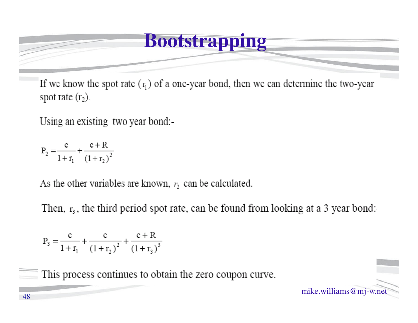#### **Bootstrapping**

If we know the spot rate  $(r_1)$  of a one-year bond, then we can determine the two-year spot rate  $(r_2)$ .

Using an existing two year bond:-

 $P_2 = \frac{c}{1 + r_1} + \frac{c + R}{(1 + r_2)^2}$ 

As the other variables are known,  $r_2$  can be calculated.

Then,  $r_3$ , the third period spot rate, can be found from looking at a 3 year bond:

$$
P_3 = \frac{c}{1 + r_1} + \frac{c}{(1 + r_2)^2} + \frac{c + R}{(1 + r_3)^3}
$$

This process continues to obtain the zero coupon curve.

mike.williams@mj-w.net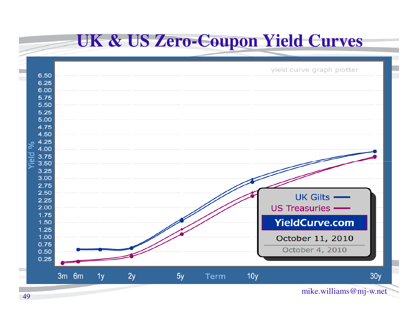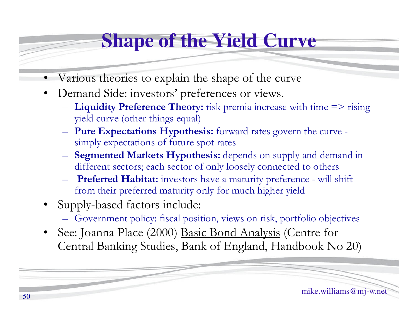## **Shape of the Yield Curve**

- •Various theories to explain the shape of the curve
- • Demand Side: investors' preferences or views.
	- **Liquidity Preference Theory:** risk premia increase with time => rising yield curve (other things equal)
	- **Pure Expectations Hypothesis:** forward rates govern the curve simply expectations of future spot rates
	- **Segmented Markets Hypothesis:** depends on supply and demand in different sectors; each sector of only loosely connected to others
	- **Preferred Habitat:** investors have a maturity preference will shift from their preferred maturity only for much higher yield
- • Supply-based factors include:
	- Government policy: fiscal position, views on risk, portfolio objectives
- • See: Joanna Place (2000) Basic Bond Analysis (Centre for Central Banking Studies, Bank of England, Handbook No 20)

mike.williams@mj-w.net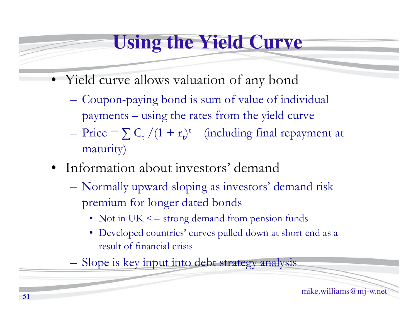## **Using the Yield Curve**

- Yield curve allows valuation of any bond
	- – Coupon-paying bond is sum of value of individual payments – using the rates from the yield curve
	- –Price =  $\sum_{t} C_{t} / (1 + r_{t})^{t}$  (including final repayment at maturity)
- Information about investors' demand
	- – Normally upward sloping as investors' demand risk premium for longer dated bonds
		- Not in UK <= strong demand from pension funds
		- Developed countries' curves pulled down at short end as a result of financial crisis
	- –Slope is key input into debt strategy analysis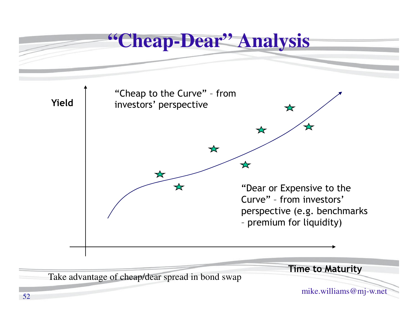

52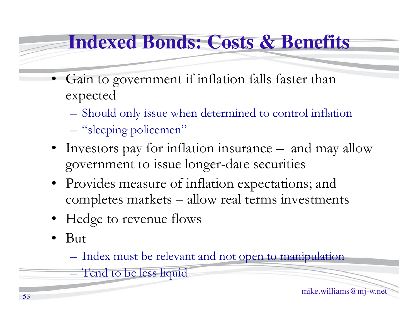## **Indexed Bonds: Costs & Benefits**

- • Gain to government if inflation falls faster than expected
	- **Hart Committee Committee** Should only issue when determined to control inflation
	- –"sleeping policemen"
	- Investors pay for inflation insurance  $-$  and may allow government to issue longer-date securities
	- Provides measure of inflation expectations; and completes markets – allow real terms investments
	- Hedge to revenue flows
	- •But

**Hart Committee Committee** 

–Index must be relevant and not open to manipulation

Tend to be less liquid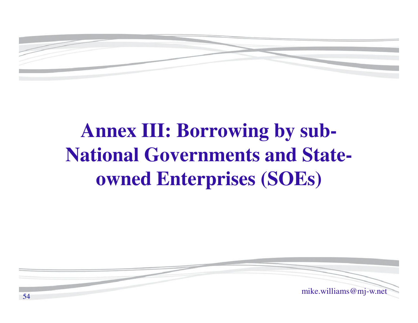

## **Annex III: Borrowing by sub-National Governments and Stateowned Enterprises (SOEs)**

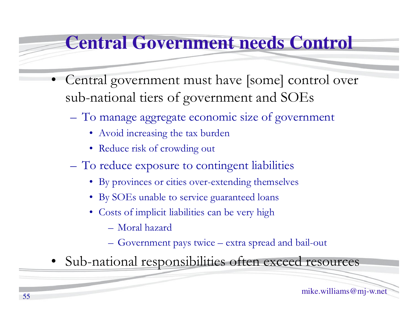#### **Central Government needs Control**

- • Central government must have [some] control over sub-national tiers of government and SOEs
	- – To manage aggregate economic size of government
		- Avoid increasing the tax burden
		- Reduce risk of crowding out
	- $\mathcal{L}_{\mathcal{A}}$  To reduce exposure to contingent liabilities
		- By provinces or cities over-extending themselves
		- By SOEs unable to service guaranteed loans
		- Costs of implicit liabilities can be very high
			- Moral hazard
			- Government pays twice extra spread and bail-out
- Sub-national responsibilities often exceed resources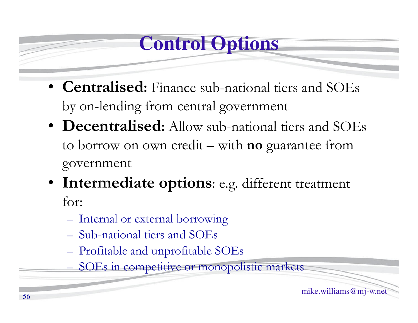## **Control Options**

- **Centralised:** Finance sub-national tiers and SOEs by on-lending from central government
- **Decentralised:** Allow sub-national tiers and SOEs to borrow on own credit – with **no** guarantee from government
- **Intermediate options**: e.g. different treatment for:
	- **Hart Committee Committee** Internal or external borrowing
	- –Sub-national tiers and SOEs
	- **Hart Committee Committee** Profitable and unprofitable SOEs
	- –SOEs in competitive or monopolistic markets

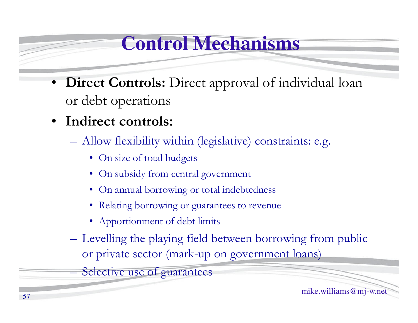## **Control Mechanisms**

- **Direct Controls:** Direct approval of individual loan or debt operations
- $\bullet$  **Indirect controls:**
	- – Allow flexibility within (legislative) constraints: e.g.
		- On size of total budgets
		- On subsidy from central government
		- On annual borrowing or total indebtedness
		- Relating borrowing or guarantees to revenue
		- Apportionment of debt limits
	- –Levelling the playing field between borrowing from public or private sector (mark-up on government loans)

Selective use of guarantees

**Hart Committee Committee**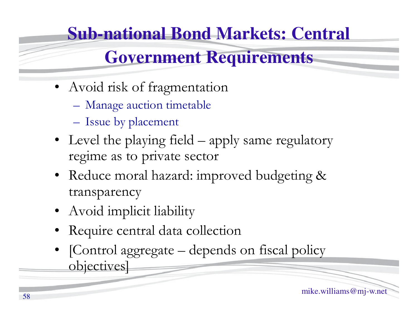# **Sub-national Bond Markets: Central**

#### **Government Requirements**

- Avoid risk of fragmentation
	- **Hart Committee Committee** Manage auction timetable
	- –Issue by placement
- Level the playing field  $-$  apply same regulatory regime as to private sector
- Reduce moral hazard: improved budgeting & transparency
- Avoid implicit liability
- Require central data collection
- [Control aggregate depends on fiscal policy objectives]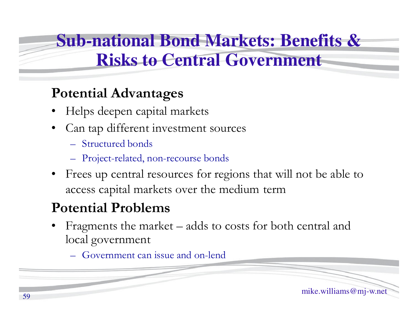#### **Sub-national Bond Markets: Benefits & Risks to Central Government**

#### **Potential Advantages**

- •Helps deepen capital markets
- • Can tap different investment sources
	- Structured bonds
	- Project -related, non-recourse bonds
- • Frees up central resources for regions that will not be able to access capital markets over the medium term

#### **Potential Problems**

- • Fragments the market – adds to costs for both central and local government
	- Government can issue and on-lend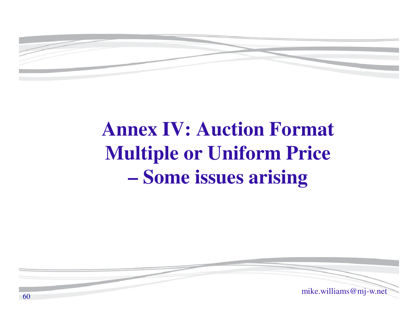

## **Annex IV: Auction FormatMultiple or Uniform Price Some issues arising**

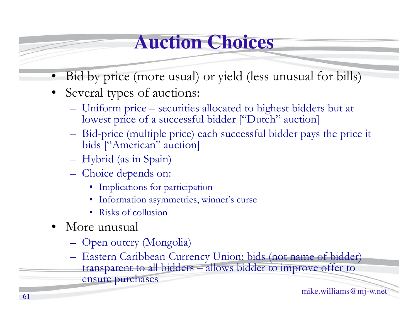## **Auction Choices**

- $\bullet$ Bid by price (more usual) or yield (less unusual for bills)
- Several types of auctions:
	- Uniform price securities allocated to highest bidders but at<br>lowest price of a successful bidder ["Dutch" auction] lowest price of a successful bidder ["Dutch" auction]
	- Bid-price (multiple price) each successful bidder pays the price it<br>bids  $f''$  anerican'' auction bids ["American" auction]
	- Hybrid (as in Spain)
	- Choice depends on:
		- Implications for participation
		- Information asymmetries, winner's curse
		- Risks of collusion
- More unusual
	- Open outcry (Mongolia)
	- Eastern Caribbean Currency Union: bids (not name of bidder)<br>transparent to all bidders allows bidder to improve offer to transparent to all bidders – allows bidder to improve offer to ensure purchases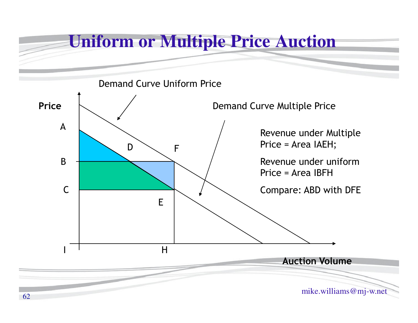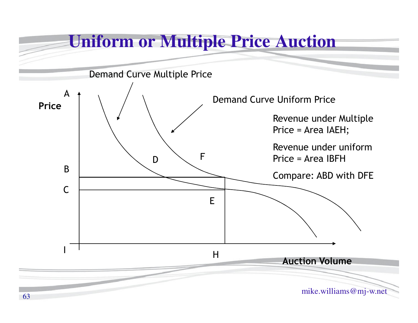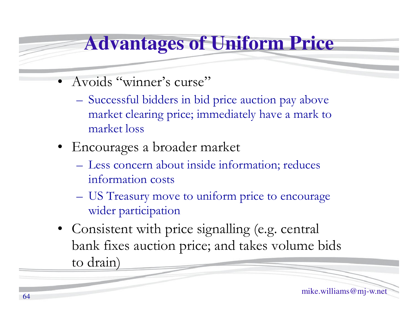#### **Advantages of Uniform Price**

- Avoids "winner's curse"
	- – Successful bidders in bid price auction pay above market clearing price; immediately have a mark to market loss
- Encourages a broader market
	- –- Less concern about inside information; reduces information costs
	- **Hart Committee Committee**  US Treasury move to uniform price to encourage wider participation
- Consistent with price signalling (e.g. central bank fixes auction price; and takes volume bids to drain)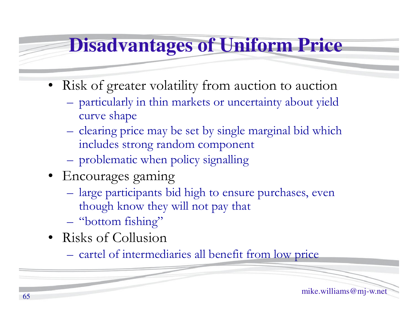#### **Disadvantages of Uniform Price**

- Risk of greater volatility from auction to auction
	- **Hart Committee Committee**  particularly in thin markets or uncertainty about yield curve shape
	- –clearing price may be set by single marginal bid which includes strong random component
	- –problematic when policy signalling
- Encourages gaming
	- **Hart Committee Committee** large participants bid high to ensure purchases, even though know they will not pay that
	- **Hart Committee Committee** "bottom fishing"
- Risks of Collusion
	- –cartel of intermediaries all benefit from low price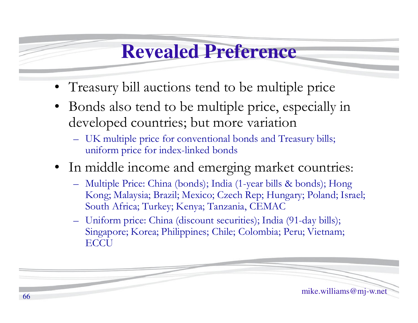#### **Revealed Preference**

- Treasury bill auctions tend to be multiple price
- Bonds also tend to be multiple price, especially in developed countries; but more variation
	- UK multiple price for conventional bonds and Treasury bills;<br>uniform trice for index linked bonds. uniform price for index-linked bonds
- In middle income and emerging market countries:
	- Multiple Price: China (bonds); India (1-year bills & bonds); Hong Kong; Malaysia; Brazil; Mexico; Czech Rep; Hungary; Poland; Israel; South Africa; Turkey; Kenya; Tanzania, CEMAC
	- Uniform price: China (discount securities); India (91-day bills); Singapore; Korea; Philippines; Chile; Colombia; Peru; Vietnam; **ECCU**

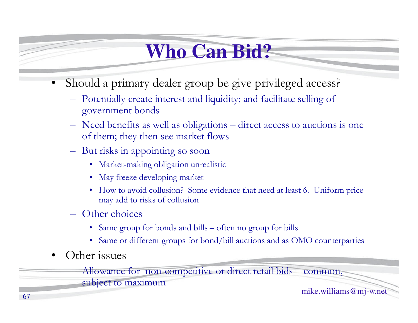## **Who Can Bid?**

- • Should a primary dealer group be give privileged access?
	- Potentially create interest and liquidity; and facilitate selling of government bonds
	- Need benefits as well as obligations direct access to auctions is one of them; they then see market flows
	- But risks in appointing so soon
		- •Market-making obligation unrealistic
		- May freeze developing market
		- How to avoid collusion? Some evidence that need at least 6. Uniform price may add to risks of collusion
	- **Hart Committee Committee**  Other choices
		- Same group for bonds and bills often no group for bills
		- Same or different groups for bond/bill auctions and as OMO counterparties
- •Other issues

 Allowance for non-competitive or direct retail bids – common, subject to maximum